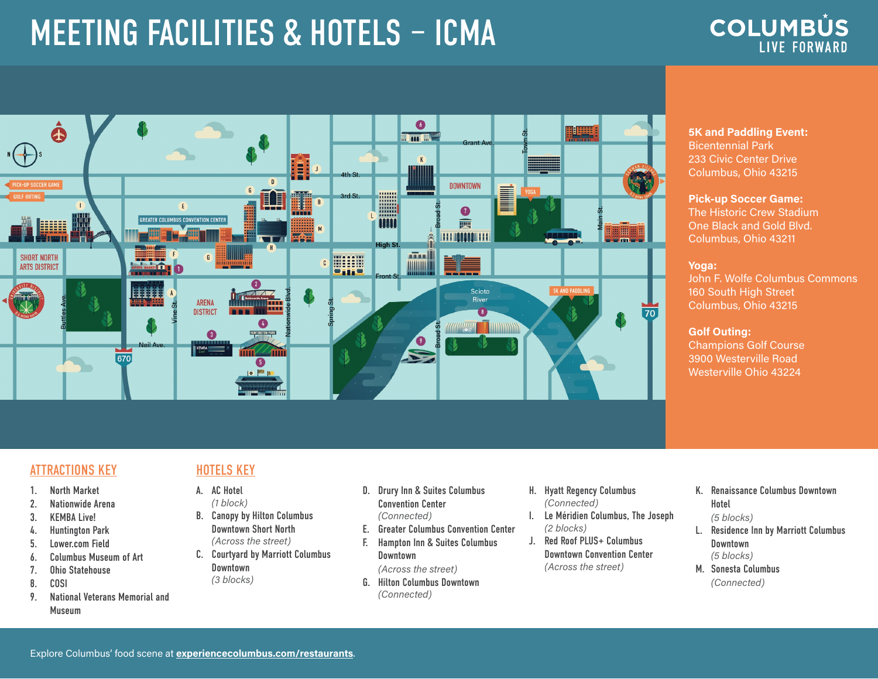# MEETING FACILITIES & HOTELS – ICMA





## **5K and Paddling Event:** Bicentennial Park 233 Civic Center Drive Columbus, Ohio 43215

## **Pick-up Soccer Game:** The Historic Crew Stadium One Black and Gold Blvd. Columbus, Ohio 43211

### **Yoga:**

John F. Wolfe Columbus Commons 160 South High Street Columbus, Ohio 43215

## **Golf Outing:**

Champions Golf Course 3900 Westerville Road Westerville Ohio 43224

# ATTRACTIONS KEY **HOTELS KEY**

- 1. North Market
- 2. Nationwide Arena
- 3. KEMBA Live!
- 4. Huntington Park
- 5. Lower.com Field
- 6. Columbus Museum of Art
- 7. Ohio Statehouse
- 8. COSI
- 9. National Veterans Memorial and Museum

- A. AC Hotel *(1 block)*
- B. Canopy by Hilton Columbus Downtown Short North *(Across the street)*
- C. Courtyard by Marriott Columbus Downtown *(3 blocks)*
	- Downtown *(Across the street)*
		- G. Hilton Columbus Downtown *(Connected)*

D. Drury Inn & Suites Columbus Convention Center *(Connected)*

E. Greater Columbus Convention Center F. Hampton Inn & Suites Columbus

- H. Hyatt Regency Columbus *(Connected)*
- I. Le Méridien Columbus, The Joseph *(2 blocks)*
- J. Red Roof PLUS+ Columbus Downtown Convention Center *(Across the street)*
- K. Renaissance Columbus Downtown Hotel
- *(5 blocks)*
- L. Residence Inn by Marriott Columbus Downtown *(5 blocks)*
- M. Sonesta Columbus *(Connected)*